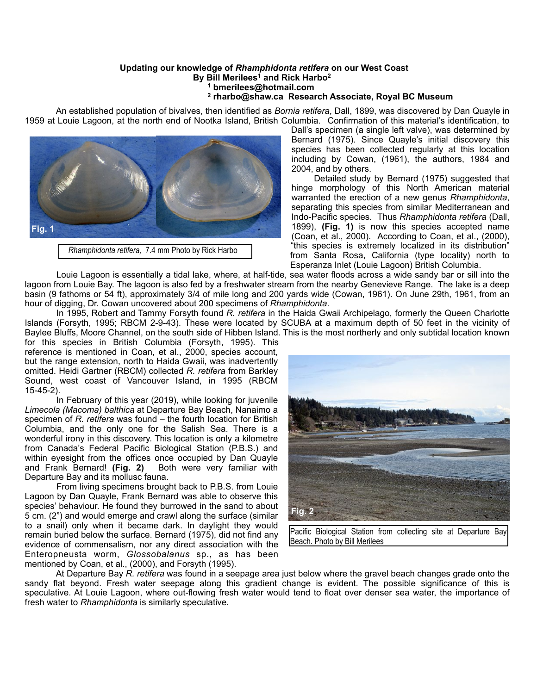## **Updating our knowledge of** *Rhamphidonta retifera* **on our West Coast By Bill Merilees<sup>1</sup> and Rick Harbo<sup>2</sup>**

## **1 bmerilees@hotmail.com**

## **2 rharbo@shaw.ca Research Associate, Royal BC Museum**

 An established population of bivalves, then identified as *Bornia retifera*, Dall, 1899, was discovered by Dan Quayle in 1959 at Louie Lagoon, at the north end of Nootka Island, British Columbia. Confirmation of this material's identification, to



*Rhamphidonta retifera,* 7.4 mm Photo by Rick Harbo

Dall's specimen (a single left valve), was determined by Bernard (1975). Since Quayle's initial discovery this species has been collected regularly at this location including by Cowan, (1961), the authors, 1984 and 2004, and by others.

 Detailed study by Bernard (1975) suggested that hinge morphology of this North American material warranted the erection of a new genus *Rhamphidonta*, separating this species from similar Mediterranean and Indo-Pacific species. Thus *Rhamphidonta retifera* (Dall, 1899), **(Fig. 1)** is now this species accepted name (Coan, et al., 2000). According to Coan, et al., (2000), "this species is extremely localized in its distribution" from Santa Rosa, California (type locality) north to Esperanza Inlet (Louie Lagoon) British Columbia.

 Louie Lagoon is essentially a tidal lake, where, at half-tide, sea water floods across a wide sandy bar or sill into the lagoon from Louie Bay. The lagoon is also fed by a freshwater stream from the nearby Genevieve Range. The lake is a deep basin (9 fathoms or 54 ft), approximately 3/4 of mile long and 200 yards wide (Cowan, 1961). On June 29th, 1961, from an hour of digging, Dr. Cowan uncovered about 200 specimens of *Rhamphidonta*.

 In 1995, Robert and Tammy Forsyth found *R. retifera* in the Haida Gwaii Archipelago, formerly the Queen Charlotte Islands (Forsyth, 1995; RBCM 2-9-43). These were located by SCUBA at a maximum depth of 50 feet in the vicinity of Baylee Bluffs, Moore Channel, on the south side of Hibben Island. This is the most northerly and only subtidal location known

for this species in British Columbia (Forsyth, 1995). This reference is mentioned in Coan, et al., 2000, species account, but the range extension, north to Haida Gwaii, was inadvertently omitted. Heidi Gartner (RBCM) collected *R. retifera* from Barkley Sound, west coast of Vancouver Island, in 1995 (RBCM 15-45-2).

 In February of this year (2019), while looking for juvenile *Limecola (Macoma) balthica* at Departure Bay Beach, Nanaimo a specimen of *R. retifera* was found – the fourth location for British Columbia, and the only one for the Salish Sea. There is a wonderful irony in this discovery. This location is only a kilometre from Canada's Federal Pacific Biological Station (P.B.S.) and within eyesight from the offices once occupied by Dan Quayle and Frank Bernard! **(Fig. 2)** Both were very familiar with Departure Bay and its mollusc fauna.

 From living specimens brought back to P.B.S. from Louie Lagoon by Dan Quayle, Frank Bernard was able to observe this species' behaviour. He found they burrowed in the sand to about 5 cm. (2") and would emerge and crawl along the surface (similar to a snail) only when it became dark. In daylight they would remain buried below the surface. Bernard (1975), did not find any evidence of commensalism, nor any direct association with the Enteropneusta worm, *Glossobalanus* sp., as has been mentioned by Coan, et al., (2000), and Forsyth (1995).



Pacific Biological Station from collecting site at Departure Bay Beach. Photo by Bill Merilees

 At Departure Bay *R. retifera* was found in a seepage area just below where the gravel beach changes grade onto the sandy flat beyond. Fresh water seepage along this gradient change is evident. The possible significance of this is speculative. At Louie Lagoon, where out-flowing fresh water would tend to float over denser sea water, the importance of fresh water to *Rhamphidonta* is similarly speculative.